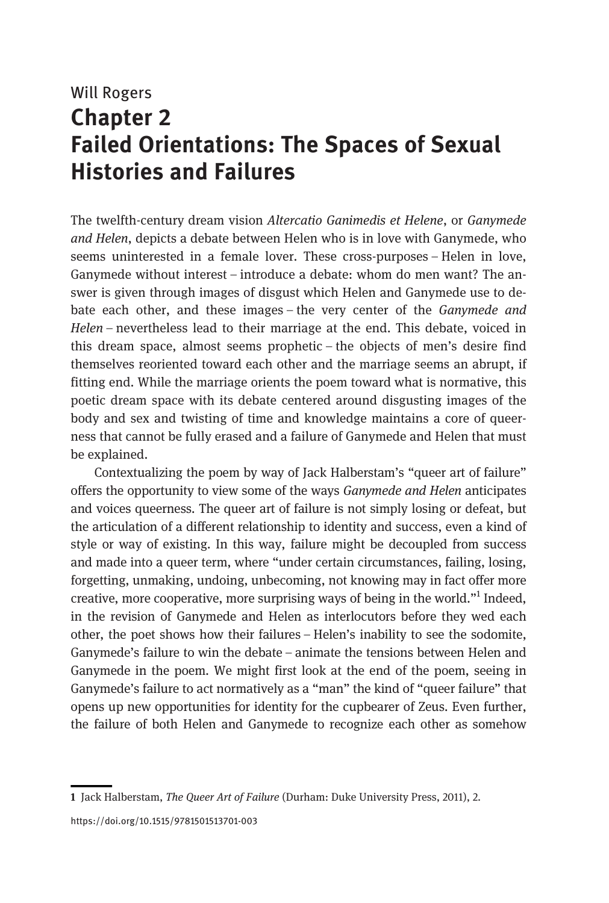# Will Rogers Chapter 2 Failed Orientations: The Spaces of Sexual Histories and Failures

The twelfth-century dream vision Altercatio Ganimedis et Helene, or Ganymede and Helen, depicts a debate between Helen who is in love with Ganymede, who seems uninterested in a female lover. These cross-purposes – Helen in love, Ganymede without interest – introduce a debate: whom do men want? The answer is given through images of disgust which Helen and Ganymede use to debate each other, and these images – the very center of the Ganymede and Helen – nevertheless lead to their marriage at the end. This debate, voiced in this dream space, almost seems prophetic – the objects of men's desire find themselves reoriented toward each other and the marriage seems an abrupt, if fitting end. While the marriage orients the poem toward what is normative, this poetic dream space with its debate centered around disgusting images of the body and sex and twisting of time and knowledge maintains a core of queerness that cannot be fully erased and a failure of Ganymede and Helen that must be explained.

Contextualizing the poem by way of Jack Halberstam's "queer art of failure" offers the opportunity to view some of the ways Ganymede and Helen anticipates and voices queerness. The queer art of failure is not simply losing or defeat, but the articulation of a different relationship to identity and success, even a kind of style or way of existing. In this way, failure might be decoupled from success and made into a queer term, where "under certain circumstances, failing, losing, forgetting, unmaking, undoing, unbecoming, not knowing may in fact offer more creative, more cooperative, more surprising ways of being in the world."<sup>1</sup> Indeed, in the revision of Ganymede and Helen as interlocutors before they wed each other, the poet shows how their failures – Helen's inability to see the sodomite, Ganymede's failure to win the debate – animate the tensions between Helen and Ganymede in the poem. We might first look at the end of the poem, seeing in Ganymede's failure to act normatively as a "man" the kind of "queer failure" that opens up new opportunities for identity for the cupbearer of Zeus. Even further, the failure of both Helen and Ganymede to recognize each other as somehow

<sup>1</sup> Jack Halberstam, The Queer Art of Failure (Durham: Duke University Press, 2011), 2.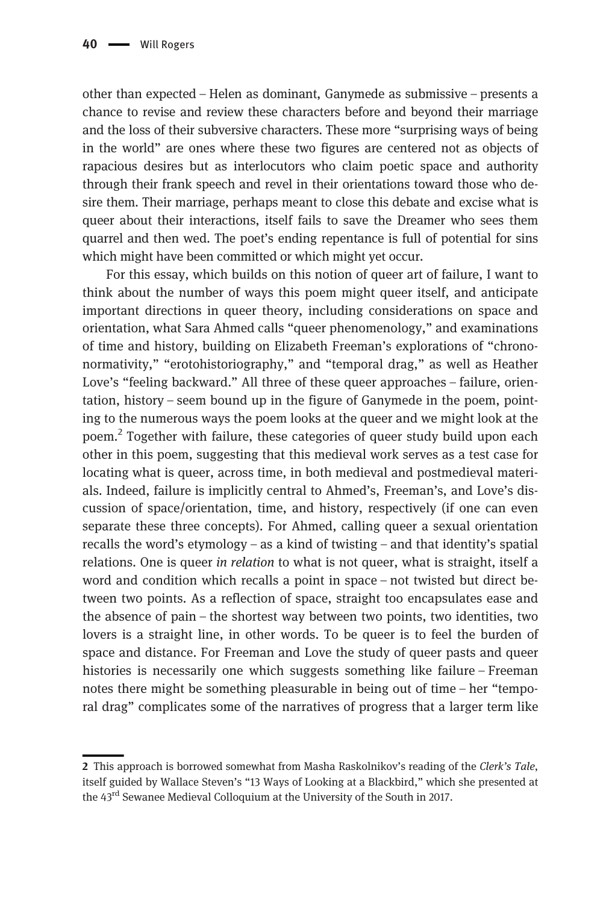other than expected – Helen as dominant, Ganymede as submissive – presents a chance to revise and review these characters before and beyond their marriage and the loss of their subversive characters. These more "surprising ways of being in the world" are ones where these two figures are centered not as objects of rapacious desires but as interlocutors who claim poetic space and authority through their frank speech and revel in their orientations toward those who desire them. Their marriage, perhaps meant to close this debate and excise what is queer about their interactions, itself fails to save the Dreamer who sees them quarrel and then wed. The poet's ending repentance is full of potential for sins which might have been committed or which might yet occur.

For this essay, which builds on this notion of queer art of failure, I want to think about the number of ways this poem might queer itself, and anticipate important directions in queer theory, including considerations on space and orientation, what Sara Ahmed calls "queer phenomenology," and examinations of time and history, building on Elizabeth Freeman's explorations of "chrononormativity," "erotohistoriography," and "temporal drag," as well as Heather Love's "feeling backward." All three of these queer approaches – failure, orientation, history – seem bound up in the figure of Ganymede in the poem, pointing to the numerous ways the poem looks at the queer and we might look at the poem.2 Together with failure, these categories of queer study build upon each other in this poem, suggesting that this medieval work serves as a test case for locating what is queer, across time, in both medieval and postmedieval materials. Indeed, failure is implicitly central to Ahmed's, Freeman's, and Love's discussion of space/orientation, time, and history, respectively (if one can even separate these three concepts). For Ahmed, calling queer a sexual orientation recalls the word's etymology – as a kind of twisting – and that identity's spatial relations. One is queer in relation to what is not queer, what is straight, itself a word and condition which recalls a point in space – not twisted but direct between two points. As a reflection of space, straight too encapsulates ease and the absence of pain – the shortest way between two points, two identities, two lovers is a straight line, in other words. To be queer is to feel the burden of space and distance. For Freeman and Love the study of queer pasts and queer histories is necessarily one which suggests something like failure – Freeman notes there might be something pleasurable in being out of time – her "temporal drag" complicates some of the narratives of progress that a larger term like

<sup>2</sup> This approach is borrowed somewhat from Masha Raskolnikov's reading of the Clerk's Tale, itself guided by Wallace Steven's "13 Ways of Looking at a Blackbird," which she presented at the 43<sup>rd</sup> Sewanee Medieval Colloquium at the University of the South in 2017.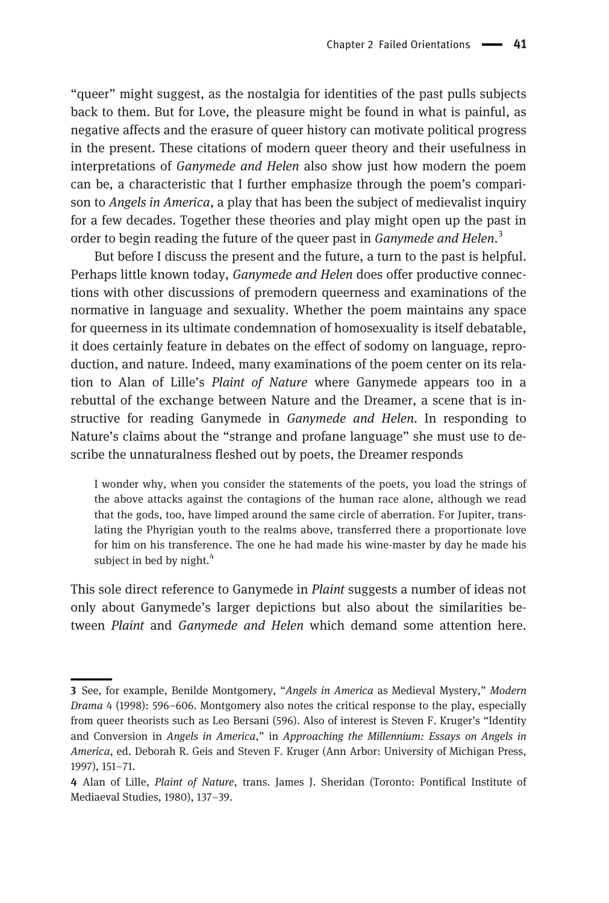"queer" might suggest, as the nostalgia for identities of the past pulls subjects back to them. But for Love, the pleasure might be found in what is painful, as negative affects and the erasure of queer history can motivate political progress in the present. These citations of modern queer theory and their usefulness in interpretations of Ganymede and Helen also show just how modern the poem can be, a characteristic that I further emphasize through the poem's comparison to *Angels in America*, a play that has been the subject of medievalist inquiry for a few decades. Together these theories and play might open up the past in order to begin reading the future of the queer past in Ganymede and Helen.<sup>3</sup>

But before I discuss the present and the future, a turn to the past is helpful. Perhaps little known today, Ganymede and Helen does offer productive connections with other discussions of premodern queerness and examinations of the normative in language and sexuality. Whether the poem maintains any space for queerness in its ultimate condemnation of homosexuality is itself debatable, it does certainly feature in debates on the effect of sodomy on language, reproduction, and nature. Indeed, many examinations of the poem center on its relation to Alan of Lille's Plaint of Nature where Ganymede appears too in a rebuttal of the exchange between Nature and the Dreamer, a scene that is instructive for reading Ganymede in Ganymede and Helen. In responding to Nature's claims about the "strange and profane language" she must use to describe the unnaturalness fleshed out by poets, the Dreamer responds

I wonder why, when you consider the statements of the poets, you load the strings of the above attacks against the contagions of the human race alone, although we read that the gods, too, have limped around the same circle of aberration. For Jupiter, translating the Phyrigian youth to the realms above, transferred there a proportionate love for him on his transference. The one he had made his wine-master by day he made his subject in bed by night.<sup>4</sup>

This sole direct reference to Ganymede in Plaint suggests a number of ideas not only about Ganymede's larger depictions but also about the similarities between Plaint and Ganymede and Helen which demand some attention here.

<sup>3</sup> See, for example, Benilde Montgomery, "Angels in America as Medieval Mystery," Modern Drama 4 (1998): 596–606. Montgomery also notes the critical response to the play, especially from queer theorists such as Leo Bersani (596). Also of interest is Steven F. Kruger's "Identity and Conversion in Angels in America," in Approaching the Millennium: Essays on Angels in America, ed. Deborah R. Geis and Steven F. Kruger (Ann Arbor: University of Michigan Press, 1997), 151–71.

<sup>4</sup> Alan of Lille, Plaint of Nature, trans. James J. Sheridan (Toronto: Pontifical Institute of Mediaeval Studies, 1980), 137–39.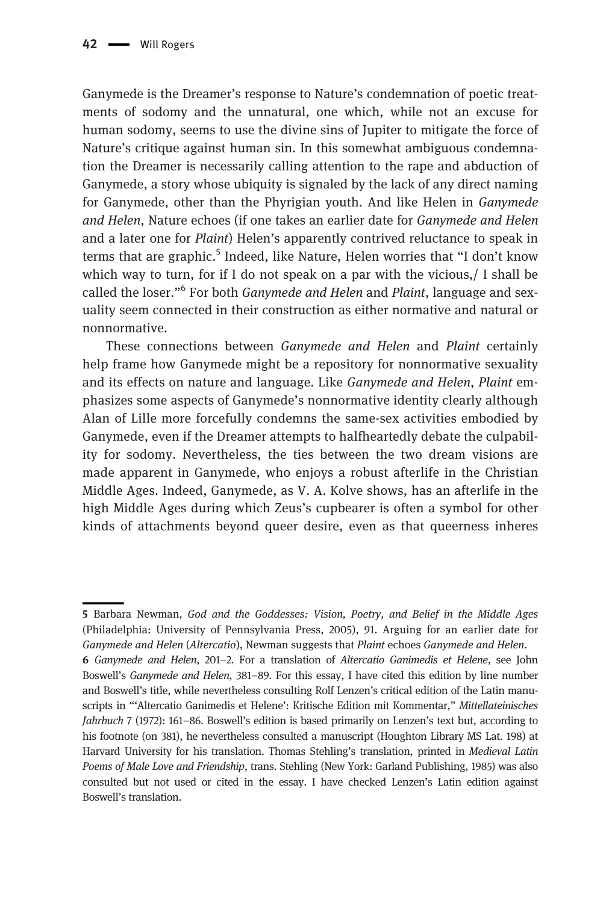Ganymede is the Dreamer's response to Nature's condemnation of poetic treatments of sodomy and the unnatural, one which, while not an excuse for human sodomy, seems to use the divine sins of Jupiter to mitigate the force of Nature's critique against human sin. In this somewhat ambiguous condemnation the Dreamer is necessarily calling attention to the rape and abduction of Ganymede, a story whose ubiquity is signaled by the lack of any direct naming for Ganymede, other than the Phyrigian youth. And like Helen in Ganymede and Helen, Nature echoes (if one takes an earlier date for Ganymede and Helen and a later one for Plaint) Helen's apparently contrived reluctance to speak in terms that are graphic.<sup>5</sup> Indeed, like Nature, Helen worries that "I don't know which way to turn, for if I do not speak on a par with the vicious,/ I shall be called the loser."<sup>6</sup> For both *Ganymede and Helen* and *Plaint*, language and sexuality seem connected in their construction as either normative and natural or nonnormative.

These connections between Ganymede and Helen and Plaint certainly help frame how Ganymede might be a repository for nonnormative sexuality and its effects on nature and language. Like Ganymede and Helen, Plaint emphasizes some aspects of Ganymede's nonnormative identity clearly although Alan of Lille more forcefully condemns the same-sex activities embodied by Ganymede, even if the Dreamer attempts to halfheartedly debate the culpability for sodomy. Nevertheless, the ties between the two dream visions are made apparent in Ganymede, who enjoys a robust afterlife in the Christian Middle Ages. Indeed, Ganymede, as V. A. Kolve shows, has an afterlife in the high Middle Ages during which Zeus's cupbearer is often a symbol for other kinds of attachments beyond queer desire, even as that queerness inheres

<sup>5</sup> Barbara Newman, God and the Goddesses: Vision, Poetry, and Belief in the Middle Ages (Philadelphia: University of Pennsylvania Press, 2005), 91. Arguing for an earlier date for Ganymede and Helen (Altercatio), Newman suggests that Plaint echoes Ganymede and Helen.

<sup>6</sup> Ganymede and Helen, 201–2. For a translation of Altercatio Ganimedis et Helene, see John Boswell's Ganymede and Helen, 381–89. For this essay, I have cited this edition by line number and Boswell's title, while nevertheless consulting Rolf Lenzen's critical edition of the Latin manuscripts in "'Altercatio Ganimedis et Helene': Kritische Edition mit Kommentar," Mittellateinisches Jahrbuch 7 (1972): 161–86. Boswell's edition is based primarily on Lenzen's text but, according to his footnote (on 381), he nevertheless consulted a manuscript (Houghton Library MS Lat. 198) at Harvard University for his translation. Thomas Stehling's translation, printed in Medieval Latin Poems of Male Love and Friendship, trans. Stehling (New York: Garland Publishing, 1985) was also consulted but not used or cited in the essay. I have checked Lenzen's Latin edition against Boswell's translation.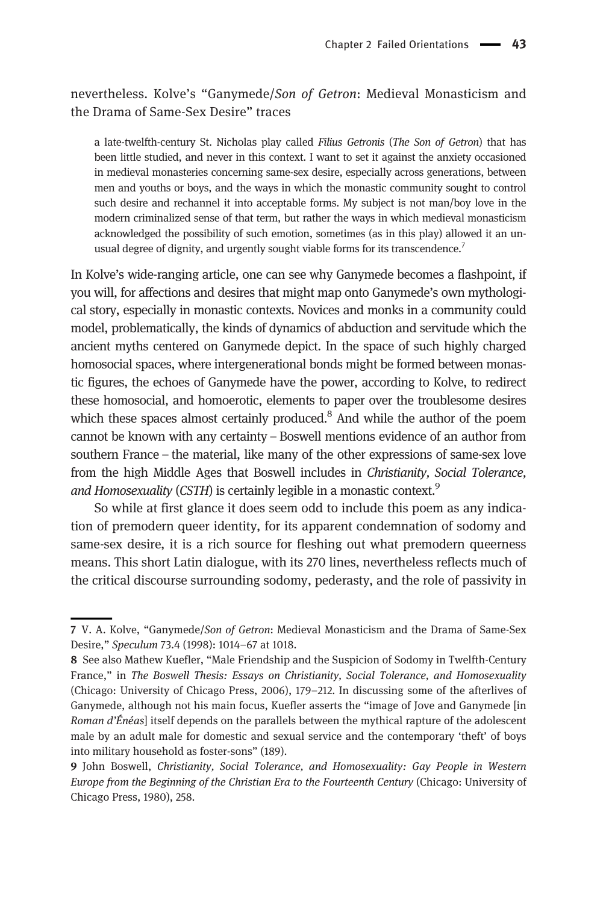#### nevertheless. Kolve's "Ganymede/Son of Getron: Medieval Monasticism and the Drama of Same-Sex Desire" traces

a late-twelfth-century St. Nicholas play called Filius Getronis (The Son of Getron) that has been little studied, and never in this context. I want to set it against the anxiety occasioned in medieval monasteries concerning same-sex desire, especially across generations, between men and youths or boys, and the ways in which the monastic community sought to control such desire and rechannel it into acceptable forms. My subject is not man/boy love in the modern criminalized sense of that term, but rather the ways in which medieval monasticism acknowledged the possibility of such emotion, sometimes (as in this play) allowed it an unusual degree of dignity, and urgently sought viable forms for its transcendence.<sup>7</sup>

In Kolve's wide-ranging article, one can see why Ganymede becomes a flashpoint, if you will, for affections and desires that might map onto Ganymede's own mythological story, especially in monastic contexts. Novices and monks in a community could model, problematically, the kinds of dynamics of abduction and servitude which the ancient myths centered on Ganymede depict. In the space of such highly charged homosocial spaces, where intergenerational bonds might be formed between monastic figures, the echoes of Ganymede have the power, according to Kolve, to redirect these homosocial, and homoerotic, elements to paper over the troublesome desires which these spaces almost certainly produced. $8$  And while the author of the poem cannot be known with any certainty – Boswell mentions evidence of an author from southern France – the material, like many of the other expressions of same-sex love from the high Middle Ages that Boswell includes in Christianity, Social Tolerance, and Homosexuality (CSTH) is certainly legible in a monastic context.<sup>9</sup>

So while at first glance it does seem odd to include this poem as any indication of premodern queer identity, for its apparent condemnation of sodomy and same-sex desire, it is a rich source for fleshing out what premodern queerness means. This short Latin dialogue, with its 270 lines, nevertheless reflects much of the critical discourse surrounding sodomy, pederasty, and the role of passivity in

<sup>7</sup> V. A. Kolve, "Ganymede/Son of Getron: Medieval Monasticism and the Drama of Same-Sex Desire," Speculum 73.4 (1998): 1014–67 at 1018.

<sup>8</sup> See also Mathew Kuefler, "Male Friendship and the Suspicion of Sodomy in Twelfth-Century France," in The Boswell Thesis: Essays on Christianity, Social Tolerance, and Homosexuality (Chicago: University of Chicago Press, 2006), 179–212. In discussing some of the afterlives of Ganymede, although not his main focus, Kuefler asserts the "image of Jove and Ganymede [in Roman d'Énéas] itself depends on the parallels between the mythical rapture of the adolescent male by an adult male for domestic and sexual service and the contemporary 'theft' of boys into military household as foster-sons" (189).

<sup>9</sup> John Boswell, Christianity, Social Tolerance, and Homosexuality: Gay People in Western Europe from the Beginning of the Christian Era to the Fourteenth Century (Chicago: University of Chicago Press, 1980), 258.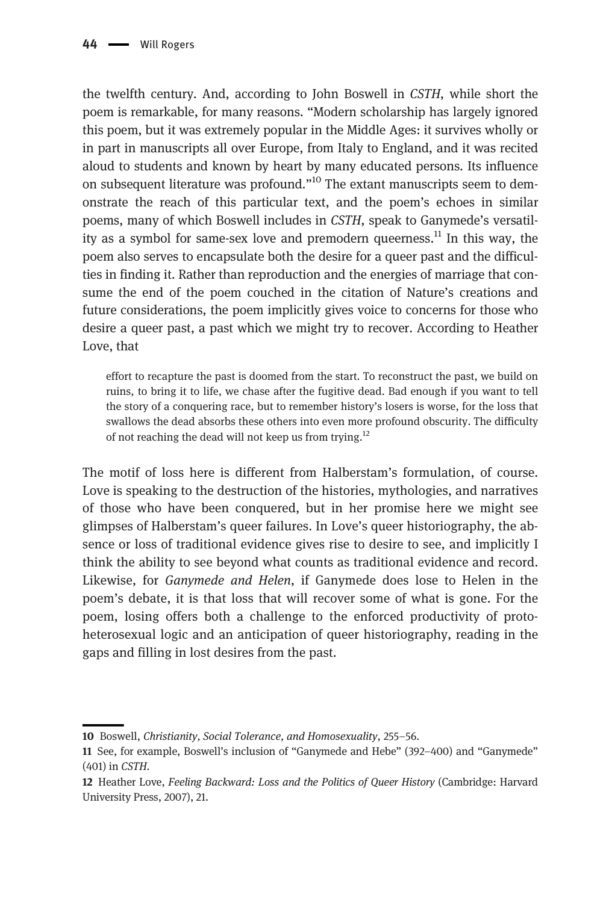the twelfth century. And, according to John Boswell in CSTH, while short the poem is remarkable, for many reasons. "Modern scholarship has largely ignored this poem, but it was extremely popular in the Middle Ages: it survives wholly or in part in manuscripts all over Europe, from Italy to England, and it was recited aloud to students and known by heart by many educated persons. Its influence on subsequent literature was profound."<sup>10</sup> The extant manuscripts seem to demonstrate the reach of this particular text, and the poem's echoes in similar poems, many of which Boswell includes in CSTH, speak to Ganymede's versatility as a symbol for same-sex love and premodern queerness.<sup>11</sup> In this wav, the poem also serves to encapsulate both the desire for a queer past and the difficulties in finding it. Rather than reproduction and the energies of marriage that consume the end of the poem couched in the citation of Nature's creations and future considerations, the poem implicitly gives voice to concerns for those who desire a queer past, a past which we might try to recover. According to Heather Love, that

effort to recapture the past is doomed from the start. To reconstruct the past, we build on ruins, to bring it to life, we chase after the fugitive dead. Bad enough if you want to tell the story of a conquering race, but to remember history's losers is worse, for the loss that swallows the dead absorbs these others into even more profound obscurity. The difficulty of not reaching the dead will not keep us from trying.<sup>12</sup>

The motif of loss here is different from Halberstam's formulation, of course. Love is speaking to the destruction of the histories, mythologies, and narratives of those who have been conquered, but in her promise here we might see glimpses of Halberstam's queer failures. In Love's queer historiography, the absence or loss of traditional evidence gives rise to desire to see, and implicitly I think the ability to see beyond what counts as traditional evidence and record. Likewise, for Ganymede and Helen, if Ganymede does lose to Helen in the poem's debate, it is that loss that will recover some of what is gone. For the poem, losing offers both a challenge to the enforced productivity of protoheterosexual logic and an anticipation of queer historiography, reading in the gaps and filling in lost desires from the past.

<sup>10</sup> Boswell, Christianity, Social Tolerance, and Homosexuality, 255–56.

<sup>11</sup> See, for example, Boswell's inclusion of "Ganymede and Hebe" (392–400) and "Ganymede" (401) in CSTH.

<sup>12</sup> Heather Love, Feeling Backward: Loss and the Politics of Queer History (Cambridge: Harvard University Press, 2007), 21.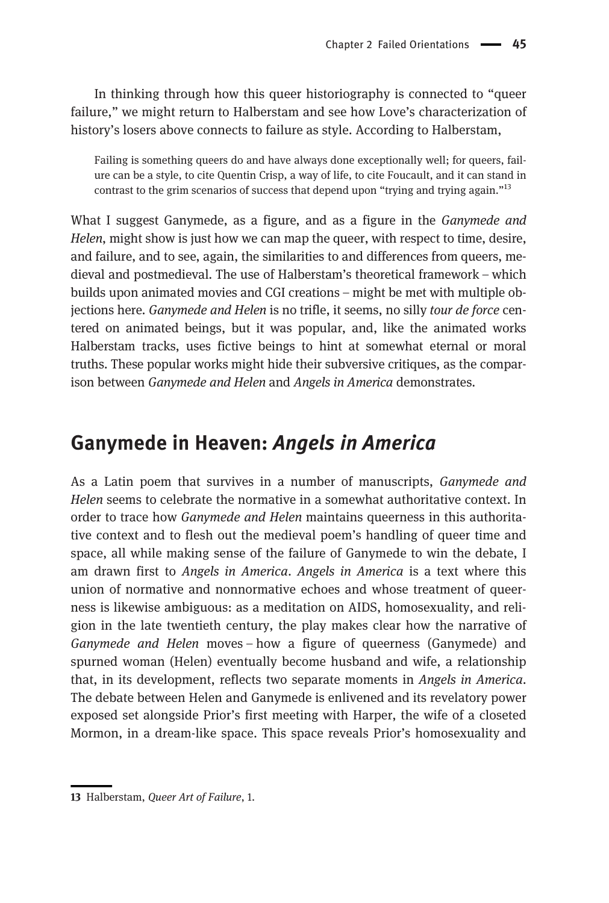In thinking through how this queer historiography is connected to "queer failure," we might return to Halberstam and see how Love's characterization of history's losers above connects to failure as style. According to Halberstam,

Failing is something queers do and have always done exceptionally well; for queers, failure can be a style, to cite Quentin Crisp, a way of life, to cite Foucault, and it can stand in contrast to the grim scenarios of success that depend upon "trying and trying again."<sup>13</sup>

What I suggest Ganymede, as a figure, and as a figure in the *Ganymede and* Helen, might show is just how we can map the queer, with respect to time, desire, and failure, and to see, again, the similarities to and differences from queers, medieval and postmedieval. The use of Halberstam's theoretical framework – which builds upon animated movies and CGI creations – might be met with multiple objections here. Ganymede and Helen is no trifle, it seems, no silly tour de force centered on animated beings, but it was popular, and, like the animated works Halberstam tracks, uses fictive beings to hint at somewhat eternal or moral truths. These popular works might hide their subversive critiques, as the comparison between Ganymede and Helen and Angels in America demonstrates.

#### Ganymede in Heaven: Angels in America

As a Latin poem that survives in a number of manuscripts, Ganymede and Helen seems to celebrate the normative in a somewhat authoritative context. In order to trace how Ganymede and Helen maintains queerness in this authoritative context and to flesh out the medieval poem's handling of queer time and space, all while making sense of the failure of Ganymede to win the debate, I am drawn first to Angels in America. Angels in America is a text where this union of normative and nonnormative echoes and whose treatment of queerness is likewise ambiguous: as a meditation on AIDS, homosexuality, and religion in the late twentieth century, the play makes clear how the narrative of Ganymede and Helen moves – how a figure of queerness (Ganymede) and spurned woman (Helen) eventually become husband and wife, a relationship that, in its development, reflects two separate moments in Angels in America. The debate between Helen and Ganymede is enlivened and its revelatory power exposed set alongside Prior's first meeting with Harper, the wife of a closeted Mormon, in a dream-like space. This space reveals Prior's homosexuality and

<sup>13</sup> Halberstam, Queer Art of Failure, 1.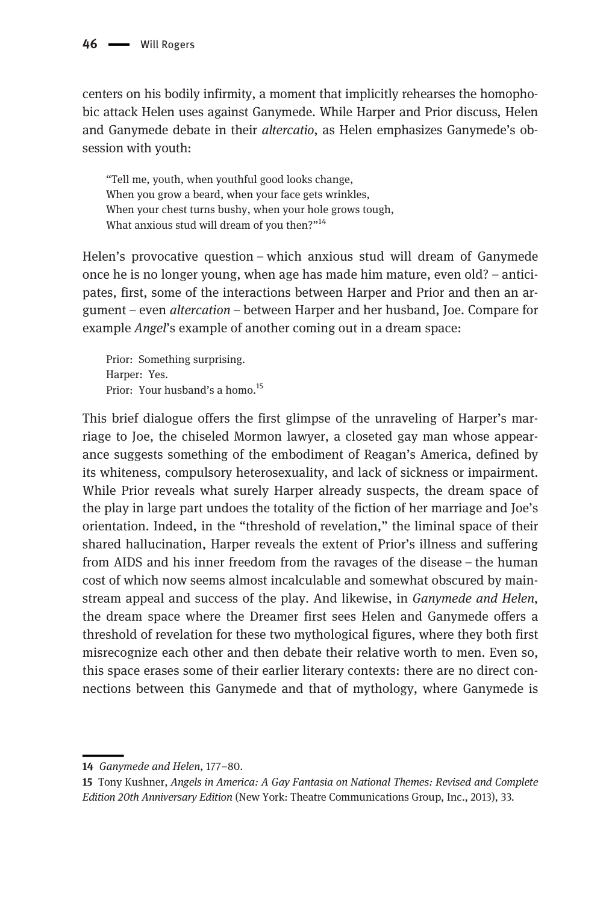centers on his bodily infirmity, a moment that implicitly rehearses the homophobic attack Helen uses against Ganymede. While Harper and Prior discuss, Helen and Ganymede debate in their *altercatio*, as Helen emphasizes Ganymede's obsession with youth:

"Tell me, youth, when youthful good looks change, When you grow a beard, when your face gets wrinkles, When your chest turns bushy, when your hole grows tough, What anxious stud will dream of you then?"<sup>14</sup>

Helen's provocative question – which anxious stud will dream of Ganymede once he is no longer young, when age has made him mature, even old? – anticipates, first, some of the interactions between Harper and Prior and then an argument – even altercation – between Harper and her husband, Joe. Compare for example Angel's example of another coming out in a dream space:

Prior: Something surprising. Harper: Yes. Prior: Your husband's a homo.<sup>15</sup>

This brief dialogue offers the first glimpse of the unraveling of Harper's marriage to Joe, the chiseled Mormon lawyer, a closeted gay man whose appearance suggests something of the embodiment of Reagan's America, defined by its whiteness, compulsory heterosexuality, and lack of sickness or impairment. While Prior reveals what surely Harper already suspects, the dream space of the play in large part undoes the totality of the fiction of her marriage and Joe's orientation. Indeed, in the "threshold of revelation," the liminal space of their shared hallucination, Harper reveals the extent of Prior's illness and suffering from AIDS and his inner freedom from the ravages of the disease – the human cost of which now seems almost incalculable and somewhat obscured by mainstream appeal and success of the play. And likewise, in Ganymede and Helen, the dream space where the Dreamer first sees Helen and Ganymede offers a threshold of revelation for these two mythological figures, where they both first misrecognize each other and then debate their relative worth to men. Even so, this space erases some of their earlier literary contexts: there are no direct connections between this Ganymede and that of mythology, where Ganymede is

<sup>14</sup> Ganymede and Helen, 177–80.

<sup>15</sup> Tony Kushner, Angels in America: A Gay Fantasia on National Themes: Revised and Complete Edition 20th Anniversary Edition (New York: Theatre Communications Group, Inc., 2013), 33.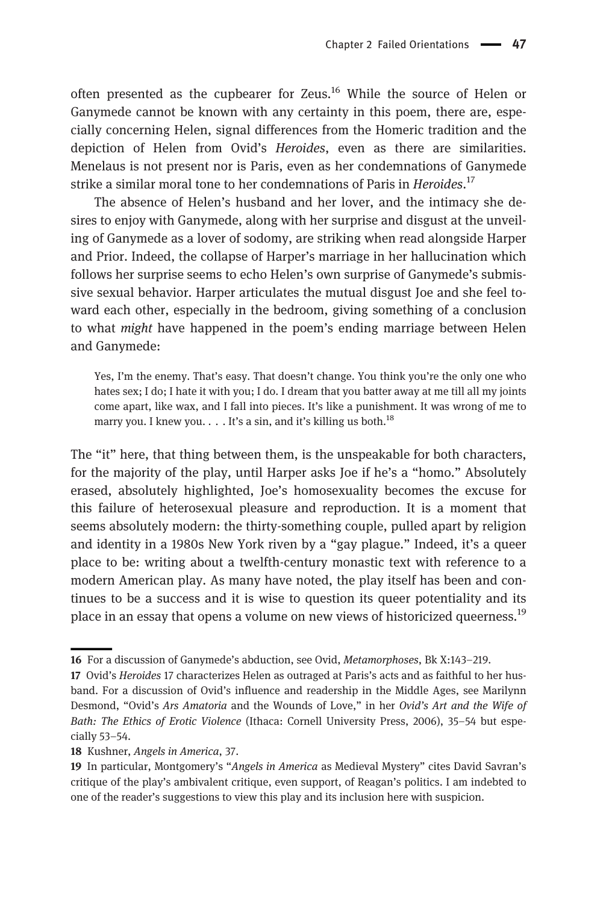often presented as the cupbearer for Zeus.<sup>16</sup> While the source of Helen or Ganymede cannot be known with any certainty in this poem, there are, especially concerning Helen, signal differences from the Homeric tradition and the depiction of Helen from Ovid's Heroides, even as there are similarities. Menelaus is not present nor is Paris, even as her condemnations of Ganymede strike a similar moral tone to her condemnations of Paris in *Heroides*.<sup>17</sup>

The absence of Helen's husband and her lover, and the intimacy she desires to enjoy with Ganymede, along with her surprise and disgust at the unveiling of Ganymede as a lover of sodomy, are striking when read alongside Harper and Prior. Indeed, the collapse of Harper's marriage in her hallucination which follows her surprise seems to echo Helen's own surprise of Ganymede's submissive sexual behavior. Harper articulates the mutual disgust Joe and she feel toward each other, especially in the bedroom, giving something of a conclusion to what might have happened in the poem's ending marriage between Helen and Ganymede:

Yes, I'm the enemy. That's easy. That doesn't change. You think you're the only one who hates sex; I do; I hate it with you; I do. I dream that you batter away at me till all my joints come apart, like wax, and I fall into pieces. It's like a punishment. It was wrong of me to marry you. I knew you.  $\ldots$  It's a sin, and it's killing us both.<sup>18</sup>

The "it" here, that thing between them, is the unspeakable for both characters, for the majority of the play, until Harper asks Joe if he's a "homo." Absolutely erased, absolutely highlighted, Joe's homosexuality becomes the excuse for this failure of heterosexual pleasure and reproduction. It is a moment that seems absolutely modern: the thirty-something couple, pulled apart by religion and identity in a 1980s New York riven by a "gay plague." Indeed, it's a queer place to be: writing about a twelfth-century monastic text with reference to a modern American play. As many have noted, the play itself has been and continues to be a success and it is wise to question its queer potentiality and its place in an essay that opens a volume on new views of historicized queerness.<sup>19</sup>

<sup>16</sup> For a discussion of Ganymede's abduction, see Ovid, Metamorphoses, Bk X:143–219.

<sup>17</sup> Ovid's Heroides 17 characterizes Helen as outraged at Paris's acts and as faithful to her husband. For a discussion of Ovid's influence and readership in the Middle Ages, see Marilynn Desmond, "Ovid's Ars Amatoria and the Wounds of Love," in her Ovid's Art and the Wife of Bath: The Ethics of Erotic Violence (Ithaca: Cornell University Press, 2006), 35–54 but especially 53–54.

<sup>18</sup> Kushner, Angels in America, 37.

<sup>19</sup> In particular, Montgomery's "Angels in America as Medieval Mystery" cites David Savran's critique of the play's ambivalent critique, even support, of Reagan's politics. I am indebted to one of the reader's suggestions to view this play and its inclusion here with suspicion.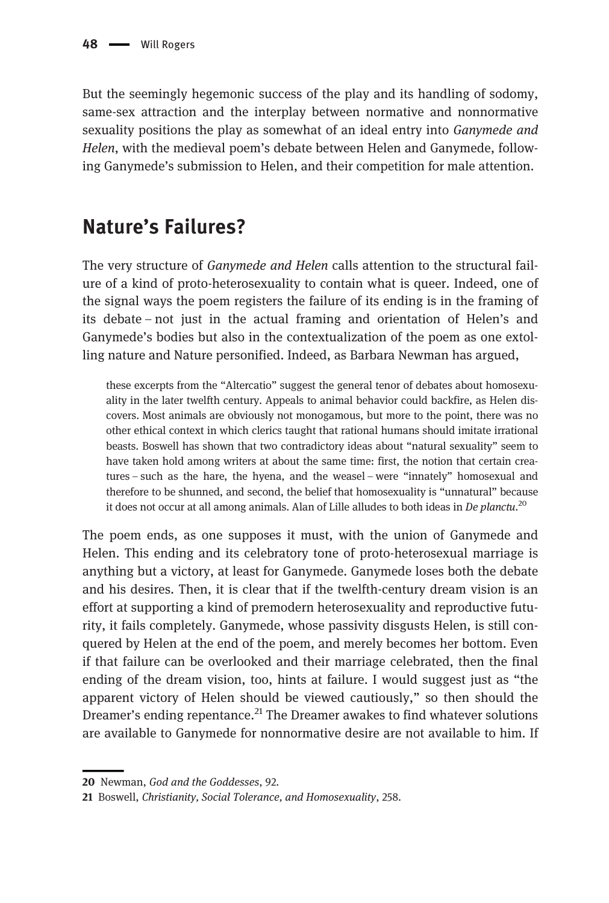But the seemingly hegemonic success of the play and its handling of sodomy, same-sex attraction and the interplay between normative and nonnormative sexuality positions the play as somewhat of an ideal entry into *Ganymede and* Helen, with the medieval poem's debate between Helen and Ganymede, following Ganymede's submission to Helen, and their competition for male attention.

### Nature's Failures?

The very structure of Ganymede and Helen calls attention to the structural failure of a kind of proto-heterosexuality to contain what is queer. Indeed, one of the signal ways the poem registers the failure of its ending is in the framing of its debate – not just in the actual framing and orientation of Helen's and Ganymede's bodies but also in the contextualization of the poem as one extolling nature and Nature personified. Indeed, as Barbara Newman has argued,

these excerpts from the "Altercatio" suggest the general tenor of debates about homosexuality in the later twelfth century. Appeals to animal behavior could backfire, as Helen discovers. Most animals are obviously not monogamous, but more to the point, there was no other ethical context in which clerics taught that rational humans should imitate irrational beasts. Boswell has shown that two contradictory ideas about "natural sexuality" seem to have taken hold among writers at about the same time: first, the notion that certain creatures – such as the hare, the hyena, and the weasel – were "innately" homosexual and therefore to be shunned, and second, the belief that homosexuality is "unnatural" because it does not occur at all among animals. Alan of Lille alludes to both ideas in De planctu.<sup>20</sup>

The poem ends, as one supposes it must, with the union of Ganymede and Helen. This ending and its celebratory tone of proto-heterosexual marriage is anything but a victory, at least for Ganymede. Ganymede loses both the debate and his desires. Then, it is clear that if the twelfth-century dream vision is an effort at supporting a kind of premodern heterosexuality and reproductive futurity, it fails completely. Ganymede, whose passivity disgusts Helen, is still conquered by Helen at the end of the poem, and merely becomes her bottom. Even if that failure can be overlooked and their marriage celebrated, then the final ending of the dream vision, too, hints at failure. I would suggest just as "the apparent victory of Helen should be viewed cautiously," so then should the Dreamer's ending repentance.<sup>21</sup> The Dreamer awakes to find whatever solutions are available to Ganymede for nonnormative desire are not available to him. If

<sup>20</sup> Newman, God and the Goddesses, 92.

<sup>21</sup> Boswell, Christianity, Social Tolerance, and Homosexuality, 258.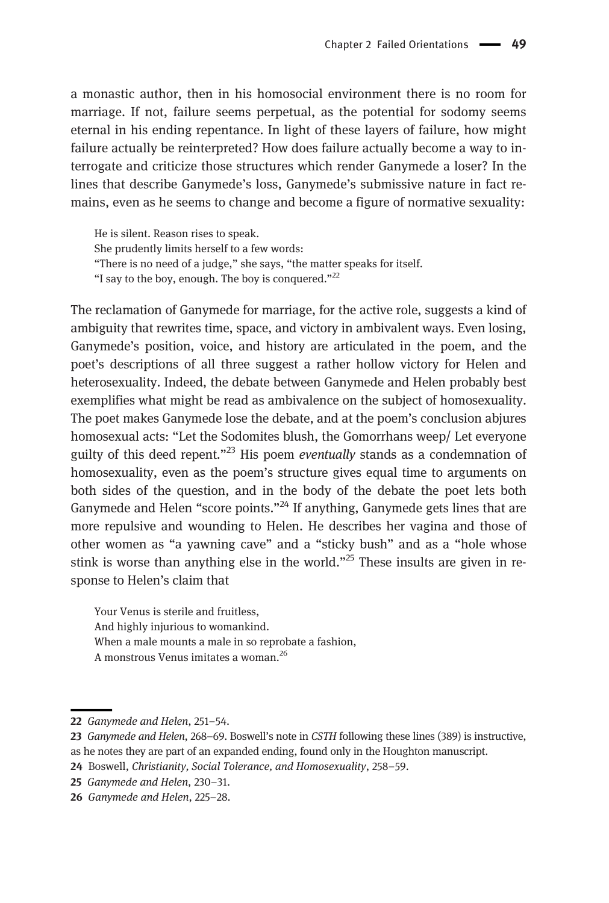a monastic author, then in his homosocial environment there is no room for marriage. If not, failure seems perpetual, as the potential for sodomy seems eternal in his ending repentance. In light of these layers of failure, how might failure actually be reinterpreted? How does failure actually become a way to interrogate and criticize those structures which render Ganymede a loser? In the lines that describe Ganymede's loss, Ganymede's submissive nature in fact remains, even as he seems to change and become a figure of normative sexuality:

He is silent. Reason rises to speak. She prudently limits herself to a few words: "There is no need of a judge," she says, "the matter speaks for itself. "I say to the boy, enough. The boy is conquered."<sup>22</sup>

The reclamation of Ganymede for marriage, for the active role, suggests a kind of ambiguity that rewrites time, space, and victory in ambivalent ways. Even losing, Ganymede's position, voice, and history are articulated in the poem, and the poet's descriptions of all three suggest a rather hollow victory for Helen and heterosexuality. Indeed, the debate between Ganymede and Helen probably best exemplifies what might be read as ambivalence on the subject of homosexuality. The poet makes Ganymede lose the debate, and at the poem's conclusion abjures homosexual acts: "Let the Sodomites blush, the Gomorrhans weep/ Let everyone guilty of this deed repent."<sup>23</sup> His poem eventually stands as a condemnation of homosexuality, even as the poem's structure gives equal time to arguments on both sides of the question, and in the body of the debate the poet lets both Ganymede and Helen "score points."<sup>24</sup> If anything, Ganymede gets lines that are more repulsive and wounding to Helen. He describes her vagina and those of other women as "a yawning cave" and a "sticky bush" and as a "hole whose stink is worse than anything else in the world."<sup>25</sup> These insults are given in response to Helen's claim that

Your Venus is sterile and fruitless, And highly injurious to womankind. When a male mounts a male in so reprobate a fashion, A monstrous Venus imitates a woman.<sup>26</sup>

<sup>22</sup> Ganymede and Helen, 251–54.

<sup>23</sup> Ganymede and Helen, 268–69. Boswell's note in CSTH following these lines (389) is instructive,

as he notes they are part of an expanded ending, found only in the Houghton manuscript.

<sup>24</sup> Boswell, Christianity, Social Tolerance, and Homosexuality, 258-59.

<sup>25</sup> Ganymede and Helen, 230–31.

<sup>26</sup> Ganymede and Helen, 225–28.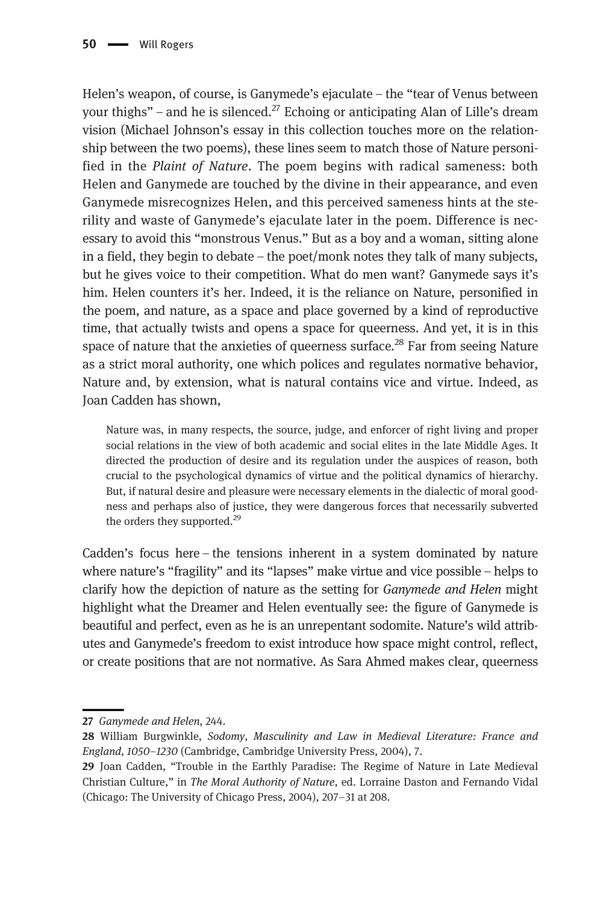Helen's weapon, of course, is Ganymede's ejaculate – the "tear of Venus between your thighs" – and he is silenced.<sup>27</sup> Echoing or anticipating Alan of Lille's dream vision (Michael Johnson's essay in this collection touches more on the relationship between the two poems), these lines seem to match those of Nature personified in the Plaint of Nature. The poem begins with radical sameness: both Helen and Ganymede are touched by the divine in their appearance, and even Ganymede misrecognizes Helen, and this perceived sameness hints at the sterility and waste of Ganymede's ejaculate later in the poem. Difference is necessary to avoid this "monstrous Venus." But as a boy and a woman, sitting alone in a field, they begin to debate – the poet/monk notes they talk of many subjects, but he gives voice to their competition. What do men want? Ganymede says it's him. Helen counters it's her. Indeed, it is the reliance on Nature, personified in the poem, and nature, as a space and place governed by a kind of reproductive time, that actually twists and opens a space for queerness. And yet, it is in this space of nature that the anxieties of queerness surface.<sup>28</sup> Far from seeing Nature as a strict moral authority, one which polices and regulates normative behavior, Nature and, by extension, what is natural contains vice and virtue. Indeed, as Joan Cadden has shown,

Nature was, in many respects, the source, judge, and enforcer of right living and proper social relations in the view of both academic and social elites in the late Middle Ages. It directed the production of desire and its regulation under the auspices of reason, both crucial to the psychological dynamics of virtue and the political dynamics of hierarchy. But, if natural desire and pleasure were necessary elements in the dialectic of moral goodness and perhaps also of justice, they were dangerous forces that necessarily subverted the orders they supported. $^{29}$ 

Cadden's focus here – the tensions inherent in a system dominated by nature where nature's "fragility" and its "lapses" make virtue and vice possible – helps to clarify how the depiction of nature as the setting for Ganymede and Helen might highlight what the Dreamer and Helen eventually see: the figure of Ganymede is beautiful and perfect, even as he is an unrepentant sodomite. Nature's wild attributes and Ganymede's freedom to exist introduce how space might control, reflect, or create positions that are not normative. As Sara Ahmed makes clear, queerness

<sup>27</sup> Ganymede and Helen, 244.

<sup>28</sup> William Burgwinkle, Sodomy, Masculinity and Law in Medieval Literature: France and England, 1050–1230 (Cambridge, Cambridge University Press, 2004), 7.

<sup>29</sup> Joan Cadden, "Trouble in the Earthly Paradise: The Regime of Nature in Late Medieval Christian Culture," in The Moral Authority of Nature, ed. Lorraine Daston and Fernando Vidal (Chicago: The University of Chicago Press, 2004), 207–31 at 208.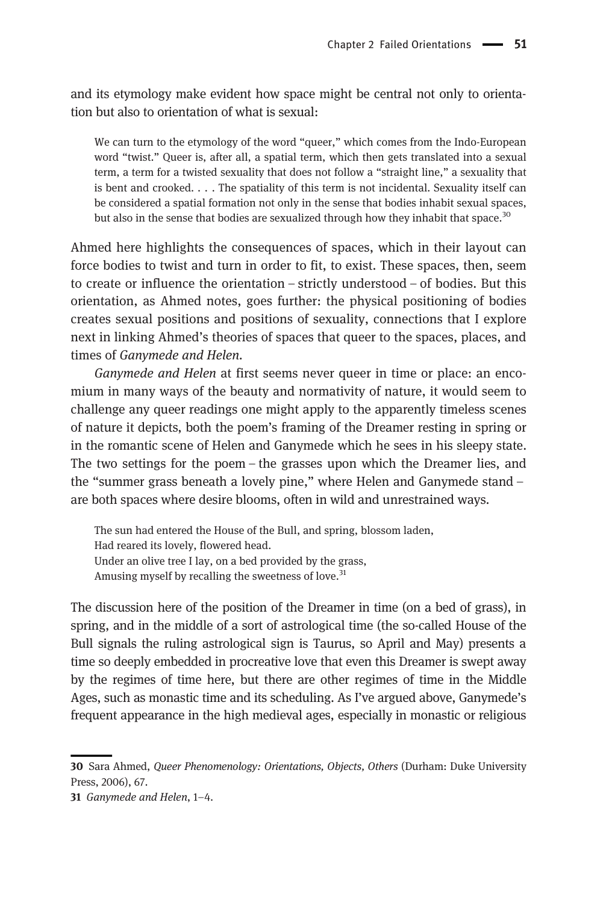and its etymology make evident how space might be central not only to orientation but also to orientation of what is sexual:

We can turn to the etymology of the word "queer," which comes from the Indo-European word "twist." Queer is, after all, a spatial term, which then gets translated into a sexual term, a term for a twisted sexuality that does not follow a "straight line," a sexuality that is bent and crooked. . . . The spatiality of this term is not incidental. Sexuality itself can be considered a spatial formation not only in the sense that bodies inhabit sexual spaces, but also in the sense that bodies are sexualized through how they inhabit that space.<sup>30</sup>

Ahmed here highlights the consequences of spaces, which in their layout can force bodies to twist and turn in order to fit, to exist. These spaces, then, seem to create or influence the orientation – strictly understood – of bodies. But this orientation, as Ahmed notes, goes further: the physical positioning of bodies creates sexual positions and positions of sexuality, connections that I explore next in linking Ahmed's theories of spaces that queer to the spaces, places, and times of Ganymede and Helen.

Ganymede and Helen at first seems never queer in time or place: an encomium in many ways of the beauty and normativity of nature, it would seem to challenge any queer readings one might apply to the apparently timeless scenes of nature it depicts, both the poem's framing of the Dreamer resting in spring or in the romantic scene of Helen and Ganymede which he sees in his sleepy state. The two settings for the poem – the grasses upon which the Dreamer lies, and the "summer grass beneath a lovely pine," where Helen and Ganymede stand – are both spaces where desire blooms, often in wild and unrestrained ways.

The sun had entered the House of the Bull, and spring, blossom laden, Had reared its lovely, flowered head. Under an olive tree I lay, on a bed provided by the grass, Amusing myself by recalling the sweetness of love. $31$ 

The discussion here of the position of the Dreamer in time (on a bed of grass), in spring, and in the middle of a sort of astrological time (the so-called House of the Bull signals the ruling astrological sign is Taurus, so April and May) presents a time so deeply embedded in procreative love that even this Dreamer is swept away by the regimes of time here, but there are other regimes of time in the Middle Ages, such as monastic time and its scheduling. As I've argued above, Ganymede's frequent appearance in the high medieval ages, especially in monastic or religious

<sup>30</sup> Sara Ahmed, Queer Phenomenology: Orientations, Objects, Others (Durham: Duke University Press, 2006), 67.

<sup>31</sup> Ganymede and Helen, 1–4.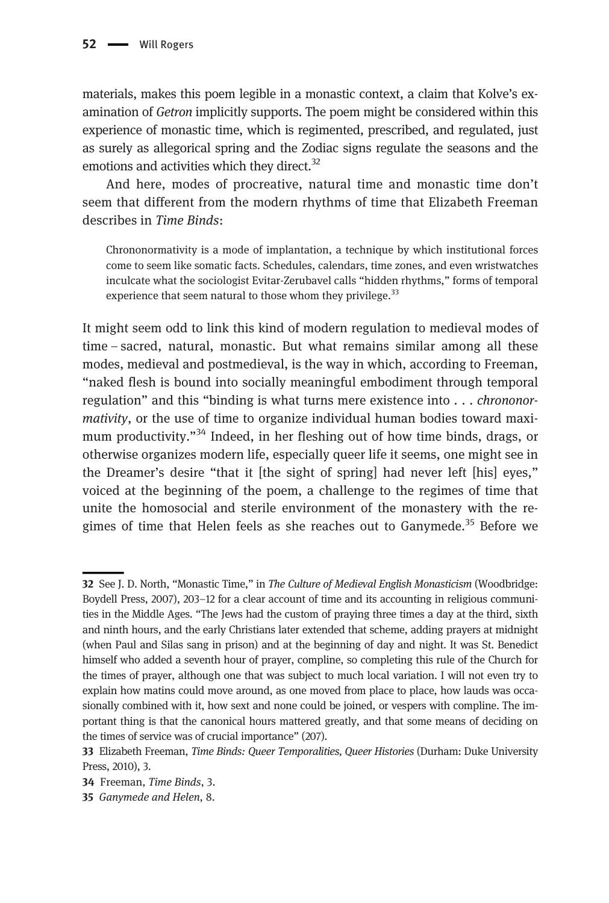materials, makes this poem legible in a monastic context, a claim that Kolve's examination of Getron implicitly supports. The poem might be considered within this experience of monastic time, which is regimented, prescribed, and regulated, just as surely as allegorical spring and the Zodiac signs regulate the seasons and the emotions and activities which they direct.<sup>32</sup>

And here, modes of procreative, natural time and monastic time don't seem that different from the modern rhythms of time that Elizabeth Freeman describes in Time Binds:

Chrononormativity is a mode of implantation, a technique by which institutional forces come to seem like somatic facts. Schedules, calendars, time zones, and even wristwatches inculcate what the sociologist Evitar-Zerubavel calls "hidden rhythms," forms of temporal experience that seem natural to those whom they privilege. $33$ 

It might seem odd to link this kind of modern regulation to medieval modes of time – sacred, natural, monastic. But what remains similar among all these modes, medieval and postmedieval, is the way in which, according to Freeman, "naked flesh is bound into socially meaningful embodiment through temporal regulation" and this "binding is what turns mere existence into . . . chrononormativity, or the use of time to organize individual human bodies toward maximum productivity."<sup>34</sup> Indeed, in her fleshing out of how time binds, drags, or otherwise organizes modern life, especially queer life it seems, one might see in the Dreamer's desire "that it [the sight of spring] had never left [his] eyes," voiced at the beginning of the poem, a challenge to the regimes of time that unite the homosocial and sterile environment of the monastery with the regimes of time that Helen feels as she reaches out to Ganymede.<sup>35</sup> Before we

<sup>32</sup> See J. D. North, "Monastic Time," in The Culture of Medieval English Monasticism (Woodbridge: Boydell Press, 2007), 203–12 for a clear account of time and its accounting in religious communities in the Middle Ages. "The Jews had the custom of praying three times a day at the third, sixth and ninth hours, and the early Christians later extended that scheme, adding prayers at midnight (when Paul and Silas sang in prison) and at the beginning of day and night. It was St. Benedict himself who added a seventh hour of prayer, compline, so completing this rule of the Church for the times of prayer, although one that was subject to much local variation. I will not even try to explain how matins could move around, as one moved from place to place, how lauds was occasionally combined with it, how sext and none could be joined, or vespers with compline. The important thing is that the canonical hours mattered greatly, and that some means of deciding on the times of service was of crucial importance" (207).

<sup>33</sup> Elizabeth Freeman, Time Binds: Queer Temporalities, Queer Histories (Durham: Duke University Press, 2010), 3.

<sup>34</sup> Freeman, Time Binds, 3.

<sup>35</sup> Ganymede and Helen, 8.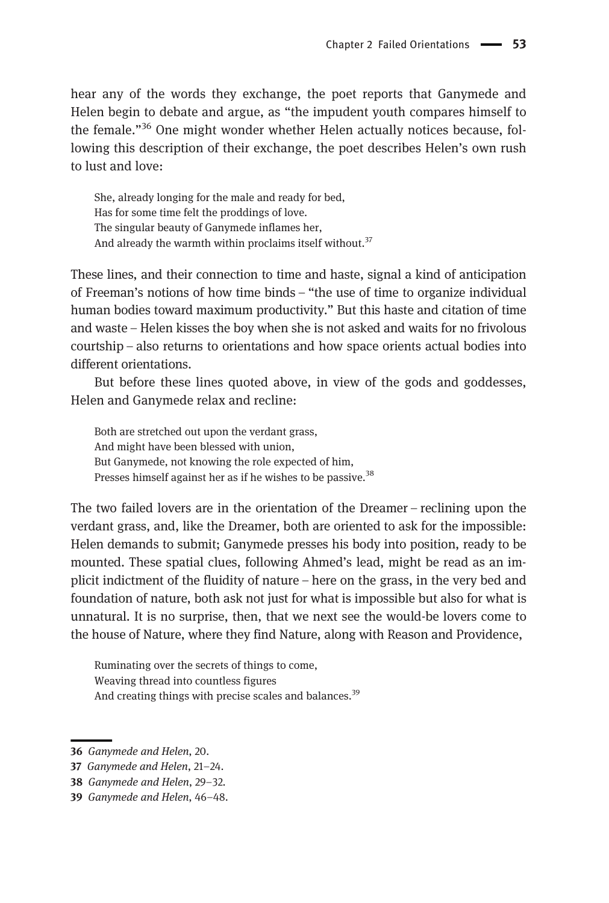hear any of the words they exchange, the poet reports that Ganymede and Helen begin to debate and argue, as "the impudent youth compares himself to the female."<sup>36</sup> One might wonder whether Helen actually notices because, following this description of their exchange, the poet describes Helen's own rush to lust and love:

She, already longing for the male and ready for bed, Has for some time felt the proddings of love. The singular beauty of Ganymede inflames her, And already the warmth within proclaims itself without.<sup>37</sup>

These lines, and their connection to time and haste, signal a kind of anticipation of Freeman's notions of how time binds – "the use of time to organize individual human bodies toward maximum productivity." But this haste and citation of time and waste – Helen kisses the boy when she is not asked and waits for no frivolous courtship – also returns to orientations and how space orients actual bodies into different orientations.

But before these lines quoted above, in view of the gods and goddesses, Helen and Ganymede relax and recline:

Both are stretched out upon the verdant grass, And might have been blessed with union, But Ganymede, not knowing the role expected of him, Presses himself against her as if he wishes to be passive.<sup>38</sup>

The two failed lovers are in the orientation of the Dreamer – reclining upon the verdant grass, and, like the Dreamer, both are oriented to ask for the impossible: Helen demands to submit; Ganymede presses his body into position, ready to be mounted. These spatial clues, following Ahmed's lead, might be read as an implicit indictment of the fluidity of nature – here on the grass, in the very bed and foundation of nature, both ask not just for what is impossible but also for what is unnatural. It is no surprise, then, that we next see the would-be lovers come to the house of Nature, where they find Nature, along with Reason and Providence,

Ruminating over the secrets of things to come, Weaving thread into countless figures And creating things with precise scales and balances.<sup>39</sup>

<sup>36</sup> Ganymede and Helen, 20.

<sup>37</sup> Ganymede and Helen, 21–24.

<sup>38</sup> Ganymede and Helen, 29–32.

<sup>39</sup> Ganymede and Helen, 46–48.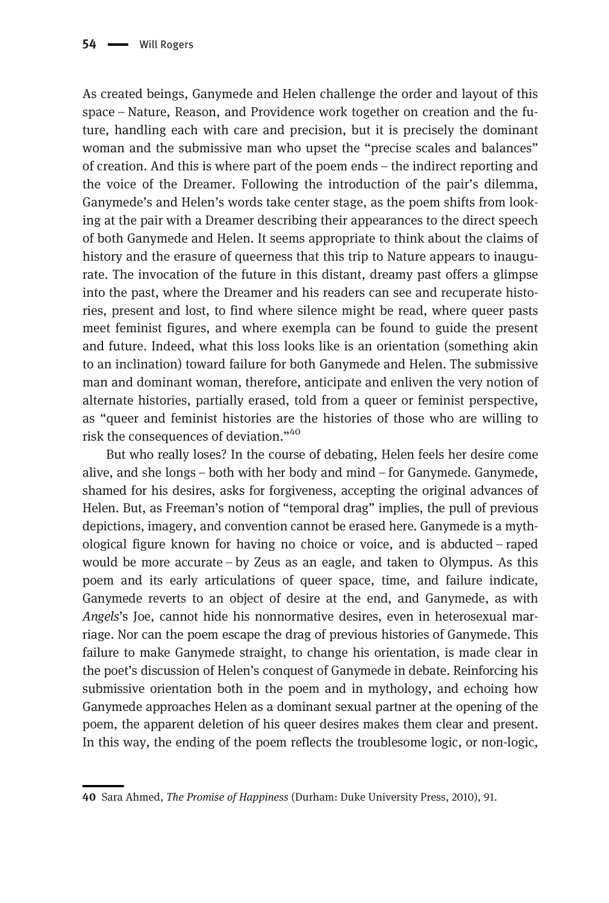As created beings, Ganymede and Helen challenge the order and layout of this space – Nature, Reason, and Providence work together on creation and the future, handling each with care and precision, but it is precisely the dominant woman and the submissive man who upset the "precise scales and balances" of creation. And this is where part of the poem ends – the indirect reporting and the voice of the Dreamer. Following the introduction of the pair's dilemma, Ganymede's and Helen's words take center stage, as the poem shifts from looking at the pair with a Dreamer describing their appearances to the direct speech of both Ganymede and Helen. It seems appropriate to think about the claims of history and the erasure of queerness that this trip to Nature appears to inaugurate. The invocation of the future in this distant, dreamy past offers a glimpse into the past, where the Dreamer and his readers can see and recuperate histories, present and lost, to find where silence might be read, where queer pasts meet feminist figures, and where exempla can be found to guide the present and future. Indeed, what this loss looks like is an orientation (something akin to an inclination) toward failure for both Ganymede and Helen. The submissive man and dominant woman, therefore, anticipate and enliven the very notion of alternate histories, partially erased, told from a queer or feminist perspective, as "queer and feminist histories are the histories of those who are willing to risk the consequences of deviation."<sup>40</sup>

But who really loses? In the course of debating, Helen feels her desire come alive, and she longs – both with her body and mind – for Ganymede. Ganymede, shamed for his desires, asks for forgiveness, accepting the original advances of Helen. But, as Freeman's notion of "temporal drag" implies, the pull of previous depictions, imagery, and convention cannot be erased here. Ganymede is a mythological figure known for having no choice or voice, and is abducted – raped would be more accurate – by Zeus as an eagle, and taken to Olympus. As this poem and its early articulations of queer space, time, and failure indicate, Ganymede reverts to an object of desire at the end, and Ganymede, as with Angels's Joe, cannot hide his nonnormative desires, even in heterosexual marriage. Nor can the poem escape the drag of previous histories of Ganymede. This failure to make Ganymede straight, to change his orientation, is made clear in the poet's discussion of Helen's conquest of Ganymede in debate. Reinforcing his submissive orientation both in the poem and in mythology, and echoing how Ganymede approaches Helen as a dominant sexual partner at the opening of the poem, the apparent deletion of his queer desires makes them clear and present. In this way, the ending of the poem reflects the troublesome logic, or non-logic,

<sup>40</sup> Sara Ahmed, The Promise of Happiness (Durham: Duke University Press, 2010), 91.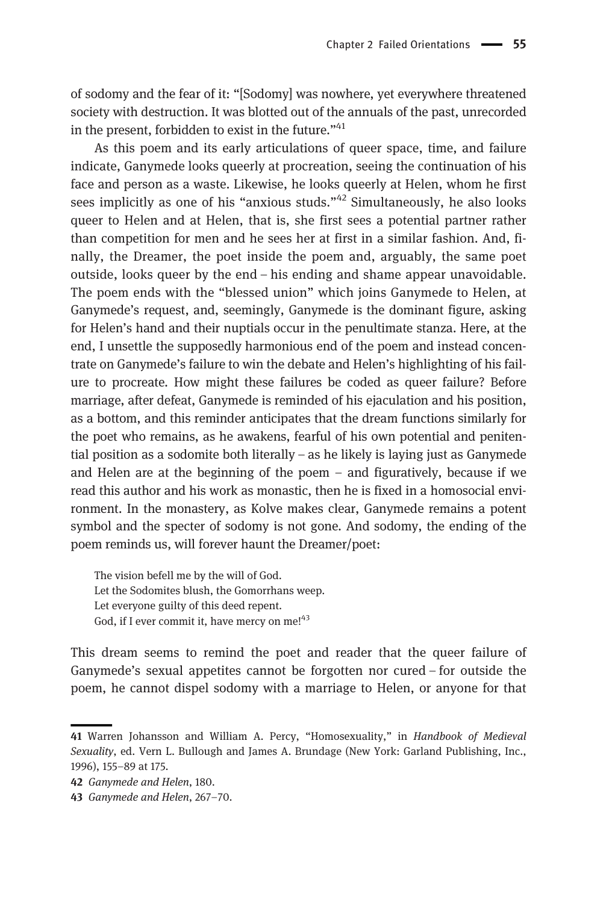of sodomy and the fear of it: "[Sodomy] was nowhere, yet everywhere threatened society with destruction. It was blotted out of the annuals of the past, unrecorded in the present, forbidden to exist in the future." $41$ 

As this poem and its early articulations of queer space, time, and failure indicate, Ganymede looks queerly at procreation, seeing the continuation of his face and person as a waste. Likewise, he looks queerly at Helen, whom he first sees implicitly as one of his "anxious studs." $42$  Simultaneously, he also looks queer to Helen and at Helen, that is, she first sees a potential partner rather than competition for men and he sees her at first in a similar fashion. And, finally, the Dreamer, the poet inside the poem and, arguably, the same poet outside, looks queer by the end – his ending and shame appear unavoidable. The poem ends with the "blessed union" which joins Ganymede to Helen, at Ganymede's request, and, seemingly, Ganymede is the dominant figure, asking for Helen's hand and their nuptials occur in the penultimate stanza. Here, at the end, I unsettle the supposedly harmonious end of the poem and instead concentrate on Ganymede's failure to win the debate and Helen's highlighting of his failure to procreate. How might these failures be coded as queer failure? Before marriage, after defeat, Ganymede is reminded of his ejaculation and his position, as a bottom, and this reminder anticipates that the dream functions similarly for the poet who remains, as he awakens, fearful of his own potential and penitential position as a sodomite both literally – as he likely is laying just as Ganymede and Helen are at the beginning of the poem – and figuratively, because if we read this author and his work as monastic, then he is fixed in a homosocial environment. In the monastery, as Kolve makes clear, Ganymede remains a potent symbol and the specter of sodomy is not gone. And sodomy, the ending of the poem reminds us, will forever haunt the Dreamer/poet:

The vision befell me by the will of God. Let the Sodomites blush, the Gomorrhans weep. Let everyone guilty of this deed repent. God, if I ever commit it, have mercy on me!<sup>43</sup>

This dream seems to remind the poet and reader that the queer failure of Ganymede's sexual appetites cannot be forgotten nor cured – for outside the poem, he cannot dispel sodomy with a marriage to Helen, or anyone for that

<sup>41</sup> Warren Johansson and William A. Percy, "Homosexuality," in Handbook of Medieval Sexuality, ed. Vern L. Bullough and James A. Brundage (New York: Garland Publishing, Inc., 1996), 155–89 at 175.

<sup>42</sup> Ganymede and Helen, 180.

<sup>43</sup> Ganymede and Helen, 267–70.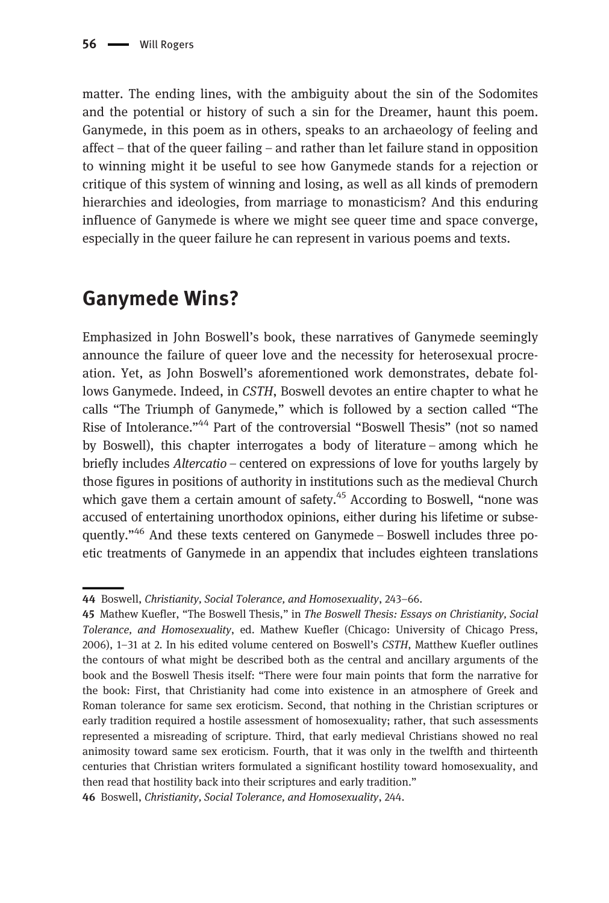matter. The ending lines, with the ambiguity about the sin of the Sodomites and the potential or history of such a sin for the Dreamer, haunt this poem. Ganymede, in this poem as in others, speaks to an archaeology of feeling and affect – that of the queer failing – and rather than let failure stand in opposition to winning might it be useful to see how Ganymede stands for a rejection or critique of this system of winning and losing, as well as all kinds of premodern hierarchies and ideologies, from marriage to monasticism? And this enduring influence of Ganymede is where we might see queer time and space converge, especially in the queer failure he can represent in various poems and texts.

## Ganymede Wins?

Emphasized in John Boswell's book, these narratives of Ganymede seemingly announce the failure of queer love and the necessity for heterosexual procreation. Yet, as John Boswell's aforementioned work demonstrates, debate follows Ganymede. Indeed, in CSTH, Boswell devotes an entire chapter to what he calls "The Triumph of Ganymede," which is followed by a section called "The Rise of Intolerance."<sup>44</sup> Part of the controversial "Boswell Thesis" (not so named by Boswell), this chapter interrogates a body of literature – among which he briefly includes *Altercatio* – centered on expressions of love for youths largely by those figures in positions of authority in institutions such as the medieval Church which gave them a certain amount of safety. $45$  According to Boswell, "none was accused of entertaining unorthodox opinions, either during his lifetime or subsequently."<sup>46</sup> And these texts centered on Ganymede – Boswell includes three poetic treatments of Ganymede in an appendix that includes eighteen translations

<sup>44</sup> Boswell, Christianity, Social Tolerance, and Homosexuality, 243–66.

<sup>45</sup> Mathew Kuefler, "The Boswell Thesis," in The Boswell Thesis: Essays on Christianity, Social Tolerance, and Homosexuality, ed. Mathew Kuefler (Chicago: University of Chicago Press, 2006), 1–31 at 2. In his edited volume centered on Boswell's CSTH, Matthew Kuefler outlines the contours of what might be described both as the central and ancillary arguments of the book and the Boswell Thesis itself: "There were four main points that form the narrative for the book: First, that Christianity had come into existence in an atmosphere of Greek and Roman tolerance for same sex eroticism. Second, that nothing in the Christian scriptures or early tradition required a hostile assessment of homosexuality; rather, that such assessments represented a misreading of scripture. Third, that early medieval Christians showed no real animosity toward same sex eroticism. Fourth, that it was only in the twelfth and thirteenth centuries that Christian writers formulated a significant hostility toward homosexuality, and then read that hostility back into their scriptures and early tradition."

<sup>46</sup> Boswell, Christianity, Social Tolerance, and Homosexuality, 244.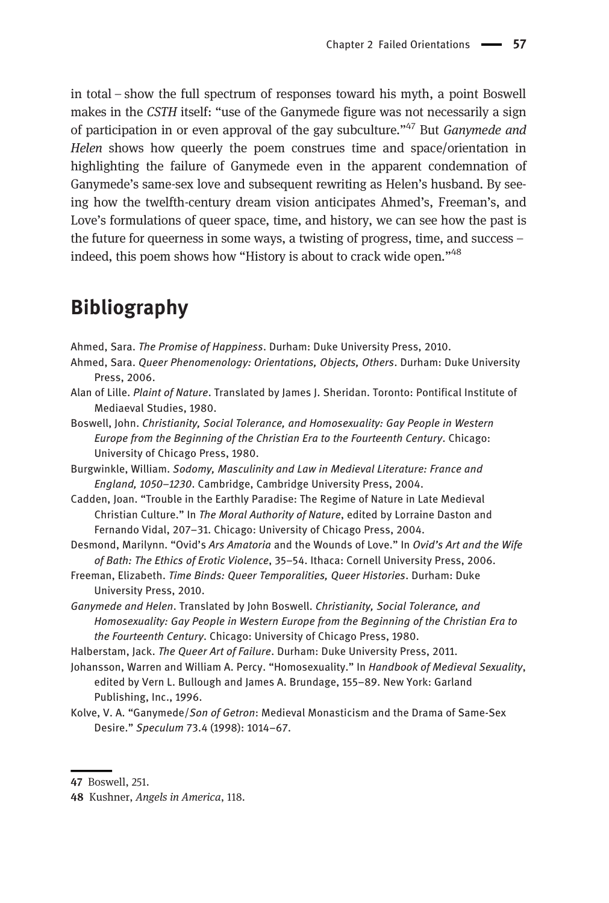in total – show the full spectrum of responses toward his myth, a point Boswell makes in the *CSTH* itself: "use of the Ganymede figure was not necessarily a sign of participation in or even approval of the gay subculture."<sup>47</sup> But *Ganymede and* Helen shows how queerly the poem construes time and space/orientation in highlighting the failure of Ganymede even in the apparent condemnation of Ganymede's same-sex love and subsequent rewriting as Helen's husband. By seeing how the twelfth-century dream vision anticipates Ahmed's, Freeman's, and Love's formulations of queer space, time, and history, we can see how the past is the future for queerness in some ways, a twisting of progress, time, and success – indeed, this poem shows how "History is about to crack wide open."<sup>48</sup>

#### Bibliography

Ahmed, Sara. The Promise of Happiness. Durham: Duke University Press, 2010.

- Ahmed, Sara. Queer Phenomenology: Orientations, Objects, Others. Durham: Duke University Press, 2006.
- Alan of Lille. Plaint of Nature. Translated by James J. Sheridan. Toronto: Pontifical Institute of Mediaeval Studies, 1980.
- Boswell, John. Christianity, Social Tolerance, and Homosexuality: Gay People in Western Europe from the Beginning of the Christian Era to the Fourteenth Century. Chicago: University of Chicago Press, 1980.
- Burgwinkle, William. Sodomy, Masculinity and Law in Medieval Literature: France and England, 1050–1230. Cambridge, Cambridge University Press, 2004.
- Cadden, Joan. "Trouble in the Earthly Paradise: The Regime of Nature in Late Medieval Christian Culture." In The Moral Authority of Nature, edited by Lorraine Daston and Fernando Vidal, 207–31. Chicago: University of Chicago Press, 2004.
- Desmond, Marilynn. "Ovid's Ars Amatoria and the Wounds of Love." In Ovid's Art and the Wife of Bath: The Ethics of Erotic Violence, 35–54. Ithaca: Cornell University Press, 2006.
- Freeman, Elizabeth. Time Binds: Queer Temporalities, Queer Histories. Durham: Duke University Press, 2010.
- Ganymede and Helen. Translated by John Boswell. Christianity, Social Tolerance, and Homosexuality: Gay People in Western Europe from the Beginning of the Christian Era to the Fourteenth Century. Chicago: University of Chicago Press, 1980.
- Halberstam, Jack. The Queer Art of Failure. Durham: Duke University Press, 2011.
- Johansson, Warren and William A. Percy. "Homosexuality." In Handbook of Medieval Sexuality, edited by Vern L. Bullough and James A. Brundage, 155–89. New York: Garland Publishing, Inc., 1996.
- Kolve, V. A. "Ganymede/Son of Getron: Medieval Monasticism and the Drama of Same-Sex Desire." Speculum 73.4 (1998): 1014–67.

<sup>47</sup> Boswell, 251.

<sup>48</sup> Kushner, Angels in America, 118.